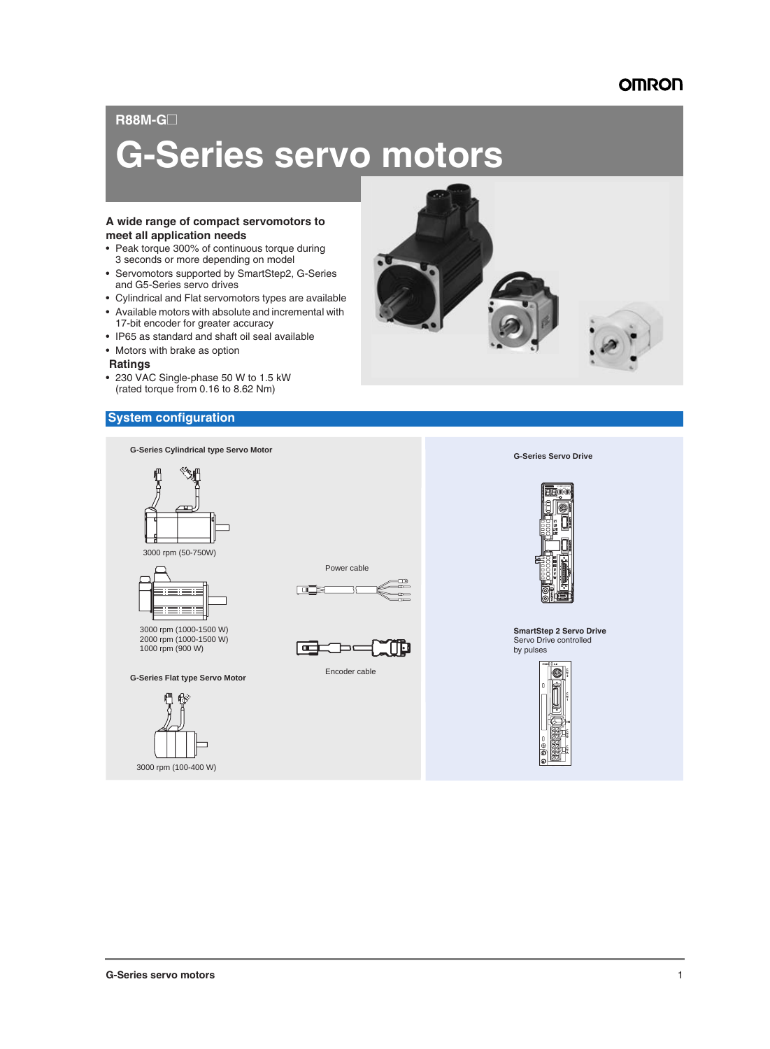#### **R88M-G**@

# **G-Series servo motors**

#### **A wide range of compact servomotors to meet all application needs**

- Peak torque 300% of continuous torque during 3 seconds or more depending on model
- Servomotors supported by SmartStep2, G-Series and G5-Series servo drives
- Cylindrical and Flat servomotors types are available
- Available motors with absolute and incremental with 17-bit encoder for greater accuracy
- IP65 as standard and shaft oil seal available
- Motors with brake as option
- **Ratings**
- 230 VAC Single-phase 50 W to 1.5 kW (rated torque from 0.16 to 8.62 Nm)

#### **System configuration**

**G-Series Cylindrical type Servo Motor**







3000 rpm (1000-1500 W) 2000 rpm (1000-1500 W) 1000 rpm (900 W)

#### **G-Series Flat type Servo Motor**







Encoder cable



**G-Series Servo Drive**



**SmartStep 2 Servo Drive** Servo Drive controlled by pulses

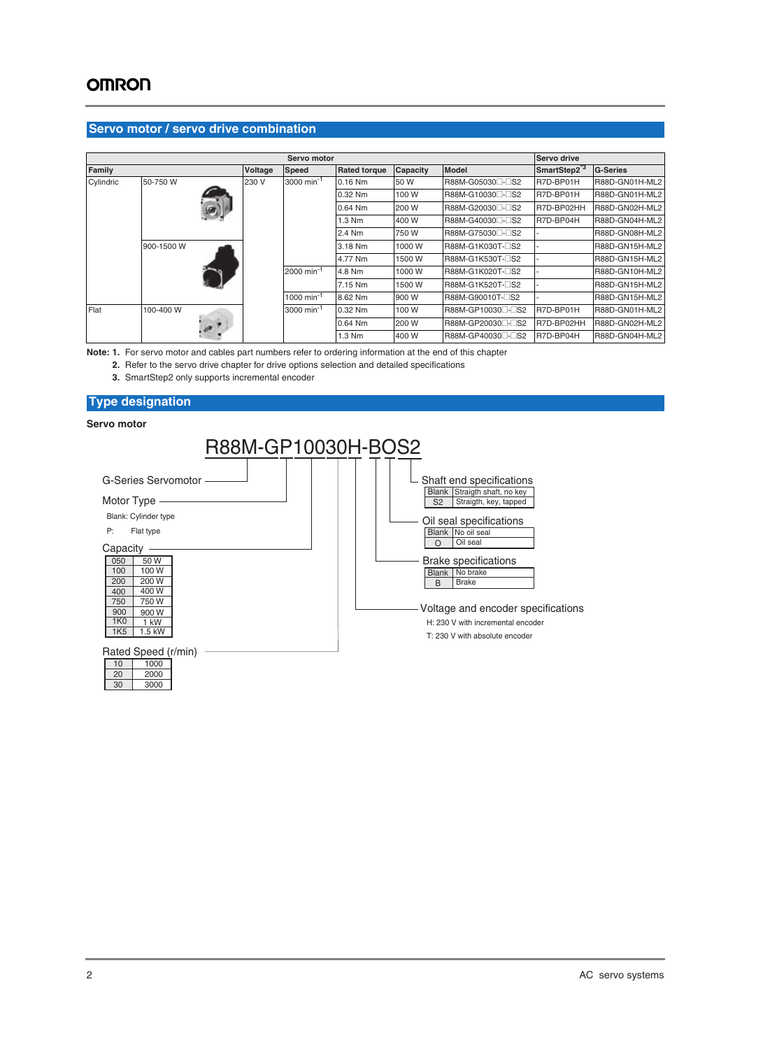#### **Servo motor / servo drive combination**

|           |            |         | Servo motor            |                     |                 |                              | Servo drive              |                 |
|-----------|------------|---------|------------------------|---------------------|-----------------|------------------------------|--------------------------|-----------------|
| Family    |            | Voltage | <b>Speed</b>           | <b>Rated torque</b> | <b>Capacity</b> | <b>Model</b>                 | SmartStep2 <sup>*3</sup> | <b>G-Series</b> |
| Cylindric | 50-750 W   | 230 V   | 3000 min <sup>-1</sup> | $0.16$ Nm           | 50 W            | R88M-G05030□-□S2             | R7D-BP01H                | R88D-GN01H-ML2  |
|           |            |         |                        | 0.32 Nm             | 100 W           | R88M-G10030□-□S2             | R7D-BP01H                | R88D-GN01H-ML2  |
|           |            |         |                        | 0.64 Nm             | 200 W           | R88M-G20030□-□S2             | R7D-BP02HH               | R88D-GN02H-ML2  |
|           |            |         |                        | 1.3 Nm              | 400 W           | R88M-G40030□-□S2             | R7D-BP04H                | R88D-GN04H-ML2  |
|           |            |         |                        | 2.4 Nm              | 750 W           | R88M-G75030□-□S2             |                          | R88D-GN08H-ML2  |
|           | 900-1500 W |         |                        | 3.18 Nm             | 1000 W          | R88M-G1K030T-CS2             |                          | R88D-GN15H-ML2  |
|           |            |         |                        | 4.77 Nm             | 1500 W          | R88M-G1K530T-CS2             |                          | R88D-GN15H-ML2  |
|           |            |         | 2000 min <sup>-1</sup> | 4.8 Nm              | 1000 W          | R88M-G1K020T-CS2             |                          | R88D-GN10H-ML2  |
|           |            |         |                        | 7.15 Nm             | 1500 W          | R88M-G1K520T-CS2             |                          | R88D-GN15H-ML2  |
|           |            |         | 1000 min <sup>-1</sup> | 8.62 Nm             | 900 W           | R88M-G90010T-CS2             |                          | R88D-GN15H-ML2  |
| Flat      | 100-400 W  |         | 3000 min <sup>-1</sup> | 0.32 Nm             | 100 W           | R88M-GP10030 <sup>-</sup> B2 | R7D-BP01H                | R88D-GN01H-ML2  |
|           |            |         |                        | 0.64 Nm             | 200 W           | R88M-GP20030 <sup>-</sup> B2 | R7D-BP02HH               | R88D-GN02H-ML2  |
|           |            |         |                        | 1.3 Nm              | 400 W           | R88M-GP40030 <sup>-DS2</sup> | R7D-BP04H                | R88D-GN04H-ML2  |

**Note: 1.** For servo motor and cables part numbers refer to ordering information at the end of this chapter

**2.** Refer to the servo drive chapter for drive options selection and detailed specifications

**3.** SmartStep2 only supports incremental encoder

#### **Type designation**

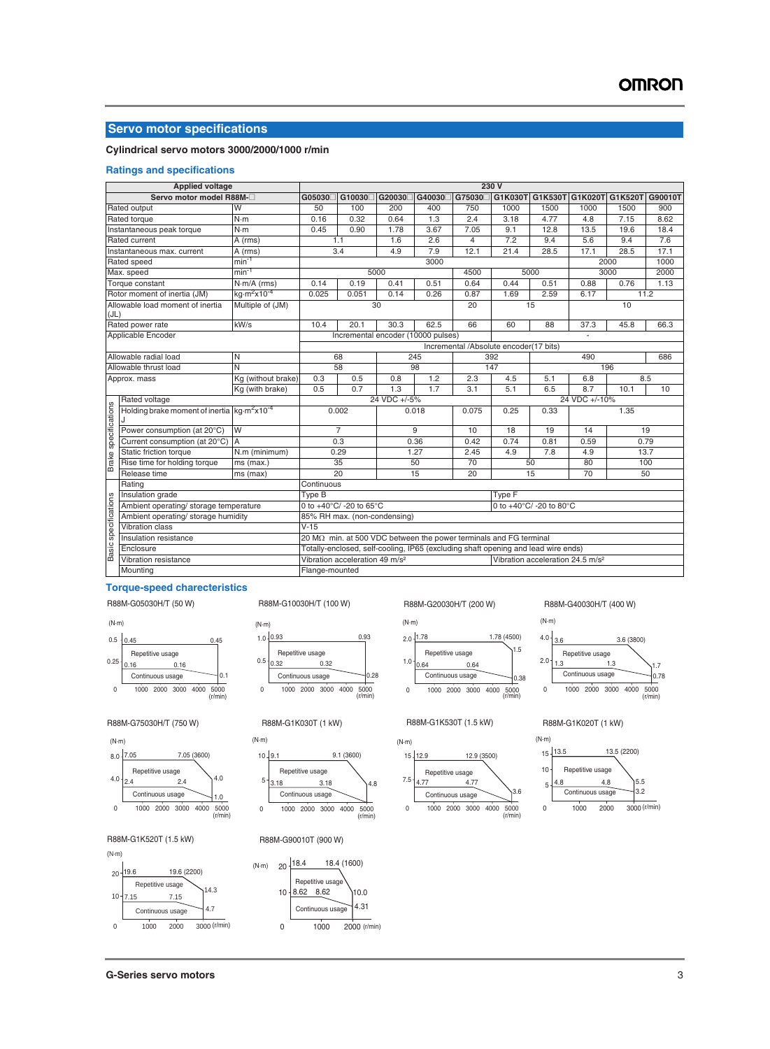#### **Servo motor specifications**

#### **Cylindrical servo motors 3000/2000/1000 r/min**

#### **Ratings and specifications**

|                             | <b>Applied voltage</b>                       |                                     |                                                                                            |                                                                          |              |        |                | 230V                                                                              |      |                |         |         |  |
|-----------------------------|----------------------------------------------|-------------------------------------|--------------------------------------------------------------------------------------------|--------------------------------------------------------------------------|--------------|--------|----------------|-----------------------------------------------------------------------------------|------|----------------|---------|---------|--|
|                             | Servo motor model R88M-                      |                                     | G05030                                                                                     | G10030                                                                   | G20030       | G40030 |                | G75030□ G1K030T G1K530T G1K020T                                                   |      |                | G1K520T | G90010T |  |
|                             | Rated output                                 | W                                   | 50                                                                                         | 100                                                                      | 200          | 400    | 750            | 1000                                                                              | 1500 | 1000           | 1500    | 900     |  |
|                             | Rated torque                                 | N·m                                 | 0.16                                                                                       | 0.32                                                                     | 0.64         | 1.3    | 2.4            | 3.18                                                                              | 4.77 | 4.8            | 7.15    | 8.62    |  |
|                             | Instantaneous peak torque                    | $N \cdot m$                         | 0.45                                                                                       | 0.90                                                                     | 1.78         | 3.67   | 7.05           | 9.1                                                                               | 12.8 | 13.5           | 19.6    | 18.4    |  |
|                             | Rated current                                | A (rms)                             |                                                                                            | 1.1                                                                      | 1.6          | 2.6    | $\overline{4}$ | 7.2                                                                               | 9.4  | 5.6            | 9.4     | 7.6     |  |
|                             | Instantaneous max. current                   | A (rms)                             |                                                                                            | 3.4                                                                      | 4.9          | 7.9    | 12.1           | 21.4                                                                              | 28.5 | 17.1           | 28.5    | 17.1    |  |
|                             | Rated speed                                  | $min-1$                             |                                                                                            |                                                                          |              | 3000   |                |                                                                                   |      |                | 2000    | 1000    |  |
|                             | Max. speed                                   | $min^{-1}$                          |                                                                                            |                                                                          | 5000         |        | 4500           |                                                                                   | 5000 |                | 3000    | 2000    |  |
|                             | Torque constant                              | $N·m/A$ (rms)                       | 0.14                                                                                       | 0.19                                                                     | 0.41         | 0.51   | 0.64           | 0.44<br>0.51                                                                      |      | 0.88           | 0.76    | 1.13    |  |
|                             | Rotor moment of inertia (JM)                 | kg·m <sup>2</sup> x10 <sup>-4</sup> | 0.025                                                                                      | 0.051                                                                    | 0.14         | 0.26   | 0.87           | 1.69                                                                              | 2.59 | 6.17           | 11.2    |         |  |
| (JL)                        | Allowable load moment of inertia             | Multiple of (JM)                    |                                                                                            |                                                                          | 30           |        | 20             |                                                                                   | 15   |                | 10      |         |  |
|                             | Rated power rate                             | kW/s                                | 10.4                                                                                       | 20.1                                                                     | 30.3         | 62.5   | 66             | 60                                                                                | 88   | 37.3           | 45.8    | 66.3    |  |
|                             | Applicable Encoder                           |                                     |                                                                                            | Incremental encoder (10000 pulses)                                       |              |        |                |                                                                                   |      | $\blacksquare$ |         |         |  |
|                             |                                              |                                     |                                                                                            |                                                                          |              |        |                | Incremental /Absolute encoder(17 bits)                                            |      |                |         |         |  |
|                             | Allowable radial load                        | N                                   |                                                                                            | 68                                                                       |              | 245    |                | 392                                                                               |      | 490            |         | 686     |  |
|                             | Allowable thrust load                        | Ñ                                   |                                                                                            | 58                                                                       |              | 98     |                | 147                                                                               |      | 196            |         |         |  |
|                             | Approx. mass                                 | Kg (without brake)                  | 0.3                                                                                        | 0.5                                                                      | 0.8          | 1.2    | 2.3            | 4.5                                                                               | 5.1  | 6.8            | 8.5     |         |  |
|                             |                                              | Kg (with brake)                     | 0.5                                                                                        | 0.7                                                                      | 1.3          | 1.7    | 3.1            | 5.1                                                                               | 6.5  | 8.7            | 10      |         |  |
|                             | Rated voltage                                |                                     |                                                                                            |                                                                          | 24 VDC +/-5% |        |                |                                                                                   |      | 24 VDC +/-10%  |         |         |  |
| Brake specifications        | Holding brake moment of inertia $kg·m2x10-4$ |                                     |                                                                                            | 0.002                                                                    |              | 0.018  | 0.075          | 0.25                                                                              | 0.33 |                | 1.35    |         |  |
|                             | Power consumption (at 20°C)                  | W                                   |                                                                                            | $\overline{7}$                                                           |              | 9      | 10             | 18                                                                                | 19   | 14             | 19      |         |  |
|                             | Current consumption (at 20°C)                | <b>IA</b>                           |                                                                                            | 0.3                                                                      |              | 0.36   | 0.42           | 0.74                                                                              | 0.81 | 0.59           | 0.79    |         |  |
|                             | Static friction torque                       | N.m (minimum)                       |                                                                                            | 0.29                                                                     |              | 1.27   | 2.45           | 4.9                                                                               | 7.8  | 4.9            | 13.7    |         |  |
|                             | Rise time for holding torque                 | ms (max.)                           |                                                                                            | 35                                                                       |              | 50     | 70             |                                                                                   | 50   | 80             | 100     |         |  |
|                             | Release time                                 | ms (max)                            |                                                                                            | 20                                                                       |              | 15     | 20             |                                                                                   | 15   | 70             | 50      |         |  |
|                             | Rating                                       |                                     | Continuous                                                                                 |                                                                          |              |        |                |                                                                                   |      |                |         |         |  |
|                             | Insulation grade                             |                                     | Type B                                                                                     |                                                                          |              |        |                | Type F                                                                            |      |                |         |         |  |
|                             | Ambient operating/ storage temperature       |                                     |                                                                                            | 0 to $+40^{\circ}$ C/ -20 to 65 $^{\circ}$ C                             |              |        |                | 0 to +40°C/ -20 to 80°C                                                           |      |                |         |         |  |
|                             | Ambient operating/ storage humidity          |                                     | 85% RH max. (non-condensing)                                                               |                                                                          |              |        |                |                                                                                   |      |                |         |         |  |
|                             | <b>Vibration class</b>                       |                                     | $V-15$                                                                                     |                                                                          |              |        |                |                                                                                   |      |                |         |         |  |
|                             | Insulation resistance                        |                                     |                                                                                            | 20 $M\Omega$ min. at 500 VDC between the power terminals and FG terminal |              |        |                |                                                                                   |      |                |         |         |  |
| <b>Basic specifications</b> | Enclosure                                    |                                     |                                                                                            |                                                                          |              |        |                | Totally-enclosed, self-cooling, IP65 (excluding shaft opening and lead wire ends) |      |                |         |         |  |
|                             | Vibration resistance                         |                                     | Vibration acceleration 49 m/s <sup>2</sup><br>Vibration acceleration 24.5 m/s <sup>2</sup> |                                                                          |              |        |                |                                                                                   |      |                |         |         |  |
|                             | Mounting                                     | Flange-mounted                      |                                                                                            |                                                                          |              |        |                |                                                                                   |      |                |         |         |  |

#### **Torque-speed charecteristics**

0 1000 2000 3000 4000 5000 (r/min)

 $4.0^{+2.4}$  2.4  $2.4$   $4.0^{+1.0}$ 

Repetitive usage

Continuous usage

7.05 (3600)

0 1000 2000 3000 4000 5000

 $|_{0.1}$ 

 $10$ 

(r/min)

0.45

R88M-G05030H/T (50 W)

0.16 0.16

Repetitive usage Continuous usage

0.25

 $0.5 - 0.45$ 

 $8.0 - 7.05$ 

(N·m)

(N·m)

R88M-G10030H/T (100 W)

0 1000 2000 3000 4000 5000 (r/min)

0 1000 2000 3000 4000 5000

 $3.18$   $3.18$   $4.8$ 

9.1 (3600)

(r/min)

10.0 4.31

1000 2000 (r/min)

18.4 (1600)

0.32 0.32

Continuous usage

Repetitive usage

Continuous usage

R88M-G90010T (900 W)

10 8.62 8.62

Repetitive usage

Continuous usage

0

 $(N\cdot m)$  20  $\frac{18.4}{5}$ 

Repetitive usage

0.5

5

(N·m)

 $10 \sqrt{9.1}$ 

(N·m)

 $1.0 - 0.93$ 



0.93

 $|_{0.28}$ 



### 0 1000 2000 3000 4000 5000 (r/min)

#### R88M-G75030H/T (750 W) R88M-G1K030T (1 kW) R88M-G1K530T (1.5 kW)



R88M-G20030H/T (200 W) R88M-G40030H/T (400 W)



R88M-G1K020T (1 kW)







R88M-G1K520T (1.5 kW)

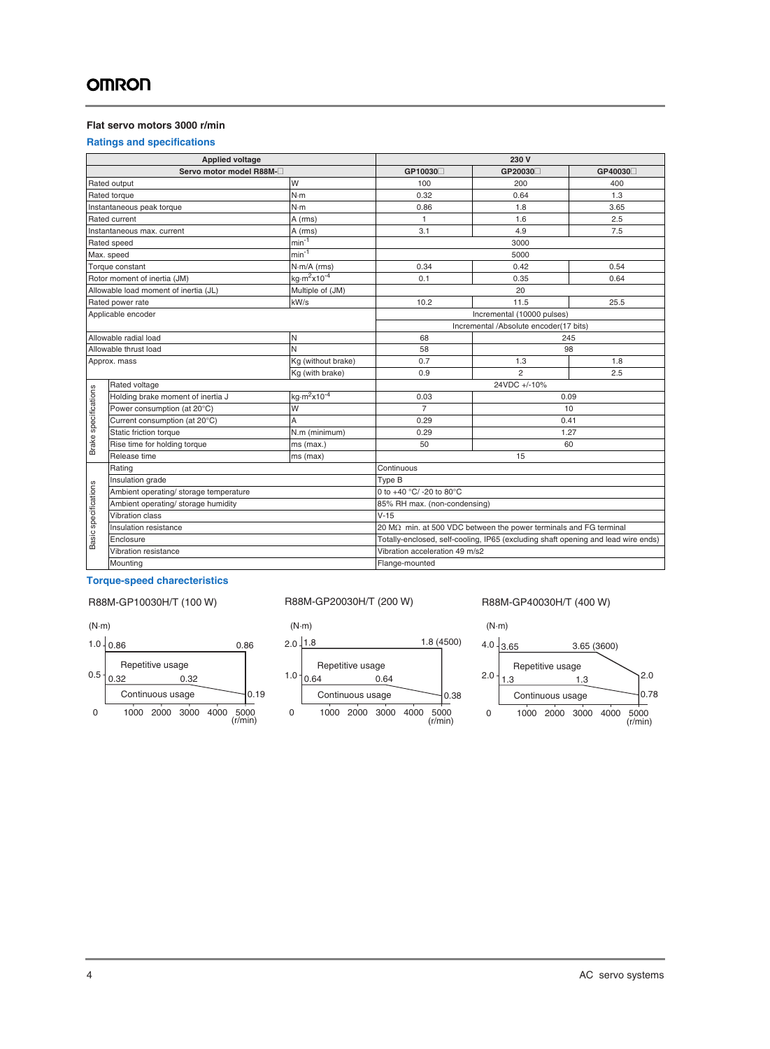#### **Flat servo motors 3000 r/min**

#### **Ratings and specifications**

|                      | <b>Applied voltage</b>                 |                                     |                                                                                   | 230 V                                  |         |  |  |  |  |
|----------------------|----------------------------------------|-------------------------------------|-----------------------------------------------------------------------------------|----------------------------------------|---------|--|--|--|--|
|                      | Servo motor model R88M-                |                                     | GP10030                                                                           | GP20030                                | GP40030 |  |  |  |  |
|                      | Rated output                           | W                                   | 100                                                                               | 200                                    | 400     |  |  |  |  |
|                      | Rated torque                           | N·m                                 | 0.32                                                                              | 0.64                                   | 1.3     |  |  |  |  |
|                      | Instantaneous peak torque              | $N \cdot m$                         | 0.86                                                                              | 1.8                                    | 3.65    |  |  |  |  |
|                      | Rated current                          | A (rms)                             | 1                                                                                 | 1.6                                    | 2.5     |  |  |  |  |
|                      | Instantaneous max. current             | A (rms)                             | 3.1                                                                               | 4.9                                    | 7.5     |  |  |  |  |
|                      | Rated speed                            | $min^{-1}$                          |                                                                                   | 3000                                   |         |  |  |  |  |
|                      | Max. speed                             | $min-1$                             |                                                                                   | 5000                                   |         |  |  |  |  |
|                      | Torque constant                        | $N·m/A$ (rms)                       | 0.34                                                                              | 0.54                                   |         |  |  |  |  |
|                      | Rotor moment of inertia (JM)           | kg $\cdot m^2$ x10 <sup>-4</sup>    | 0.1                                                                               | 0.35                                   | 0.64    |  |  |  |  |
|                      | Allowable load moment of inertia (JL)  | Multiple of (JM)                    |                                                                                   | 20                                     |         |  |  |  |  |
|                      | Rated power rate                       | kW/s                                | 10.2                                                                              | 11.5                                   | 25.5    |  |  |  |  |
|                      | Applicable encoder                     |                                     |                                                                                   | Incremental (10000 pulses)             |         |  |  |  |  |
|                      |                                        |                                     |                                                                                   | Incremental /Absolute encoder(17 bits) |         |  |  |  |  |
|                      | Allowable radial load                  | N                                   | 68                                                                                |                                        | 245     |  |  |  |  |
|                      | Allowable thrust load                  | $\mathsf{N}$                        | 58                                                                                |                                        | 98      |  |  |  |  |
|                      | Approx. mass                           | Kg (without brake)                  | 0.7                                                                               | 1.3                                    | 1.8     |  |  |  |  |
|                      |                                        | Kg (with brake)                     | 0.9                                                                               | $\overline{2}$                         | 2.5     |  |  |  |  |
|                      | Rated voltage                          |                                     |                                                                                   | 24VDC +/-10%                           |         |  |  |  |  |
| Brake specifications | Holding brake moment of inertia J      | kg·m <sup>2</sup> x10 <sup>-4</sup> | 0.03                                                                              |                                        | 0.09    |  |  |  |  |
|                      | Power consumption (at 20°C)            | W                                   | $\overline{7}$                                                                    |                                        | 10      |  |  |  |  |
|                      | Current consumption (at 20°C)          | A                                   | 0.29                                                                              |                                        | 0.41    |  |  |  |  |
|                      | Static friction torque                 | N.m (minimum)                       | 0.29                                                                              |                                        | 1.27    |  |  |  |  |
|                      | Rise time for holding torque           | ms (max.)                           | 50                                                                                |                                        | 60      |  |  |  |  |
|                      | Release time                           | ms (max)                            |                                                                                   | 15                                     |         |  |  |  |  |
|                      | Rating                                 |                                     | Continuous                                                                        |                                        |         |  |  |  |  |
|                      | Insulation grade                       |                                     | Type B                                                                            |                                        |         |  |  |  |  |
|                      | Ambient operating/ storage temperature |                                     | 0 to +40 °C/ -20 to 80°C                                                          |                                        |         |  |  |  |  |
|                      | Ambient operating/ storage humidity    |                                     | 85% RH max. (non-condensing)                                                      |                                        |         |  |  |  |  |
|                      | Vibration class                        |                                     | $V-15$                                                                            |                                        |         |  |  |  |  |
|                      | Insulation resistance                  |                                     | 20 M $\Omega$ min. at 500 VDC between the power terminals and FG terminal         |                                        |         |  |  |  |  |
| Basic specifications | Enclosure                              |                                     | Totally-enclosed, self-cooling, IP65 (excluding shaft opening and lead wire ends) |                                        |         |  |  |  |  |
|                      | <b>Vibration resistance</b>            |                                     | Vibration acceleration 49 m/s2                                                    |                                        |         |  |  |  |  |
|                      | Mounting                               |                                     | Flange-mounted                                                                    |                                        |         |  |  |  |  |

#### **Torque-speed charecteristics**

#### R88M-GP10030H/T (100 W) R88M-GP20030H/T (200 W) R88M-GP40030H/T (400 W)





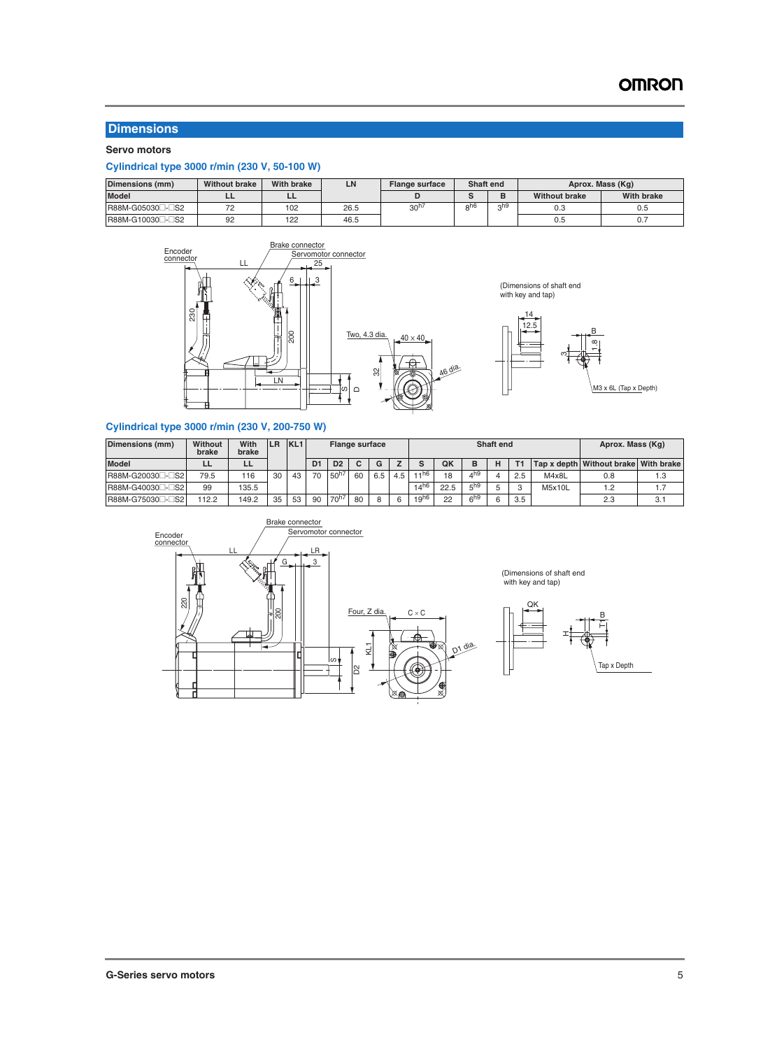### **Dimensions**

#### **Servo motors**

#### **Cylindrical type 3000 r/min (230 V, 50-100 W)**

| Dimensions (mm)          | <b>Without brake</b> | <b>With brake</b> | LN   | <b>Flange surface</b> | Shaft end |     |                      | Aprox. Mass (Kg)  |
|--------------------------|----------------------|-------------------|------|-----------------------|-----------|-----|----------------------|-------------------|
| <b>Model</b>             | --                   | --                |      |                       |           |     | <b>Without brake</b> | <b>With brake</b> |
| R88M-G05030□-□S2         |                      | 102               | 26.5 | 30 <sup>h</sup>       | n nt      | nh9 | 0.3                  | U.5               |
| R88M-G10030 <sup>-</sup> | 92                   | 122               | 46.5 |                       |           |     | U.5                  | U.I               |



(Dimensions of shaft end with key and tap)



M3 x 6L (Tap x Depth)

#### **Cylindrical type 3000 r/min (230 V, 200-750 W)**

| Dimensions (mm)              | Without<br>brake | With<br>brake | <b>LR</b> | KL <sub>1</sub> |    | <b>Flange surface</b> |    |     |     |                  |      |                 | <b>Shaft end</b> |     |        | Aprox. Mass (Kg)                     |     |
|------------------------------|------------------|---------------|-----------|-----------------|----|-----------------------|----|-----|-----|------------------|------|-----------------|------------------|-----|--------|--------------------------------------|-----|
| <b>Model</b>                 |                  | ᄔ             |           |                 | D1 | D <sub>2</sub>        |    | G   |     |                  | QK   | в               |                  |     |        | Tap x depth Without brake With brake |     |
| R88M-G20030 <sup>-</sup> B2  | 79.5             | 116           | 30        | 43              | 70 | $50^{h7}$             | 60 | 6.5 | 4.5 | .4h6             | 18   | $4^{h9}$        |                  | 2.5 | M4x8L  | 0.8                                  | 1.3 |
| R88M-G40030 <sup>-</sup>     | 99               | 135.5         |           |                 |    |                       |    |     |     | 14 <sup>h6</sup> | 22.5 | 5 <sup>h9</sup> |                  |     | M5x10L | .2                                   |     |
| R88M-G75030 <sup>-</sup> CS2 | 112.2            | 49.2          | 35        | 53              | 90 | 70 <sup>h</sup>       | 80 |     |     | $19^{h6}$        | 22   | $6^{h9}$        |                  | 3.5 |        | 2.3                                  | 3.1 |





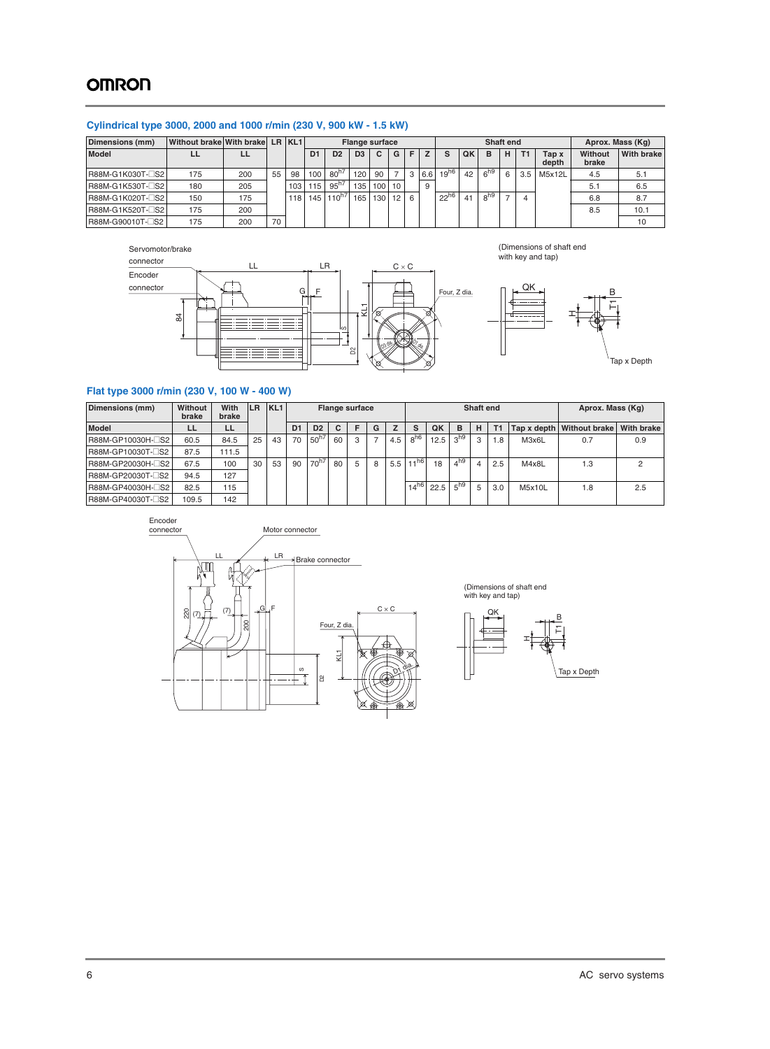# **OMRON**

#### **Cylindrical type 3000, 2000 and 1000 r/min (230 V, 900 kW - 1.5 kW)**

| Dimensions (mm)  | Without brake With brake LR KL1 |     |    |     |                | <b>Flange surface</b> |                |     |    |                |     |           |    | Shaft end       |   |     | Aprox. Mass (Kg) |                  |                   |
|------------------|---------------------------------|-----|----|-----|----------------|-----------------------|----------------|-----|----|----------------|-----|-----------|----|-----------------|---|-----|------------------|------------------|-------------------|
| <b>Model</b>     |                                 |     |    |     | D <sub>1</sub> | D <sub>2</sub>        | D <sub>3</sub> | C.  | G  |                | z   |           | QK | в               | H | T1  | Tap x<br>depth   | Without<br>brake | <b>With brake</b> |
| R88M-G1K030T-CS2 | 175                             | 200 | 55 | 98  | 100            | $80^{h7}$             | 120            | 90  |    | 3 <sup>1</sup> | 6.6 | $19^{h6}$ | 42 | 6 <sup>h9</sup> | 6 | 3.5 | M5x12L           | 4.5              | 5.1               |
| R88M-G1K530T-CS2 | 180                             | 205 |    | 103 | 115            | $95^{h7}$             | 135            | 100 | 10 |                | 9   |           |    |                 |   |     |                  | 5.1              | 6.5               |
| R88M-G1K020T-CS2 | 150                             | 175 |    | 118 |                | 145 110 <sup>h7</sup> | 165            | 130 | 12 | 6              |     | $22^{h6}$ | 41 | 8 <sup>h9</sup> |   |     |                  | 6.8              | 8.7               |
| R88M-G1K520T-CS2 | 175                             | 200 |    |     |                |                       |                |     |    |                |     |           |    |                 |   |     |                  | 8.5              | 10.1              |
| R88M-G90010T-CS2 | 175                             | 200 | 70 |     |                |                       |                |     |    |                |     |           |    |                 |   |     |                  |                  |                   |

#### Servomotor/brake







#### **Flat type 3000 r/min (230 V, 100 W - 400 W)**

| Dimensions (mm)   | Without<br>brake | With<br>brake | <b>LR</b> | KL <sub>1</sub> |    |                |    | <b>Flange surface</b> |   |     |                 |      |                 | Shaft end |     |        | Aprox. Mass (Kg)            |                   |
|-------------------|------------------|---------------|-----------|-----------------|----|----------------|----|-----------------------|---|-----|-----------------|------|-----------------|-----------|-----|--------|-----------------------------|-------------------|
| <b>Model</b>      | LL               | LL            |           |                 | D1 | D <sub>2</sub> | C. |                       | G |     | s               | QK   | в               | н         | T1  |        | Tap x depth   Without brake | <b>With brake</b> |
| R88M-GP10030H-CS2 | 60.5             | 84.5          | 25        | 43              | 70 | $50^{h7}$      | 60 | 3                     |   | 4.5 | 8 <sup>h6</sup> | 12.5 | 3 <sup>h9</sup> | 3         | 1.8 | M3x6L  | 0.7                         | 0.9               |
| R88M-GP10030T-CS2 | 87.5             | 111.5         |           |                 |    |                |    |                       |   |     |                 |      |                 |           |     |        |                             |                   |
| R88M-GP20030H-CS2 | 67.5             | 100           | 30        | 53              | 90 | $70^{h7}$      | 80 | 5                     | 8 | 5.5 | 11h6            | 18   | 4 <sup>h9</sup> |           | 2.5 | M4x8L  | .3                          |                   |
| R88M-GP20030T-CS2 | 94.5             | 127           |           |                 |    |                |    |                       |   |     |                 |      |                 |           |     |        |                             |                   |
| R88M-GP40030H-CS2 | 82.5             | 115           |           |                 |    |                |    |                       |   |     | $14^{h6}$       | 22.5 | 5 <sup>h9</sup> | 5         | 3.0 | M5x10L | .8                          | 2.5               |
| R88M-GP40030T-CS2 | 109.5            | 142           |           |                 |    |                |    |                       |   |     |                 |      |                 |           |     |        |                             |                   |



(Dimensions of shaft end with key and tap)

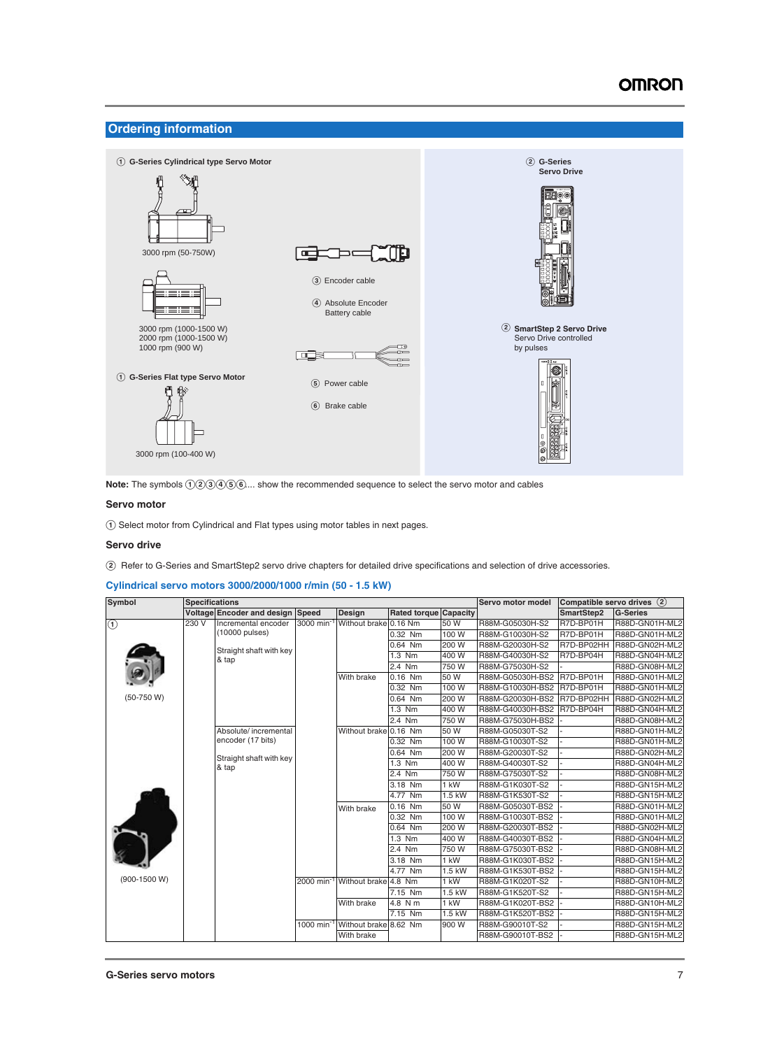#### **Ordering information**



Note: The symbols  $(1\textcircled{3}\textcircled{4})\textcircled{6}\textcircled{6}...$  show the recommended sequence to select the servo motor and cables

#### **Servo motor**

A Select motor from Cylindrical and Flat types using motor tables in next pages.

#### **Servo drive**

B Refer to G-Series and SmartStep2 servo drive chapters for detailed drive specifications and selection of drive accessories.

#### **Cylindrical servo motors 3000/2000/1000 r/min (50 - 1.5 kW)**

| Symbol       | <b>Specifications</b> |                                         |                       |                                             |                              |          | Servo motor model | Compatible servo drives (2) |                 |
|--------------|-----------------------|-----------------------------------------|-----------------------|---------------------------------------------|------------------------------|----------|-------------------|-----------------------------|-----------------|
|              |                       | <b>Voltage Encoder and design Speed</b> |                       | Design                                      | <b>Rated torque Capacity</b> |          |                   | SmartStep2                  | <b>G-Series</b> |
| $\bigcirc$   | 230V                  | Incremental encoder                     | 3000 min <sup>-</sup> | Without brake 0.16 Nm                       |                              | 50 W     | R88M-G05030H-S2   | R7D-BP01H                   | R88D-GN01H-ML2  |
|              |                       | (10000 pulses)                          |                       |                                             | 0.32 Nm                      | 100W     | R88M-G10030H-S2   | R7D-BP01H                   | R88D-GN01H-ML2  |
|              |                       | Straight shaft with key                 |                       |                                             | 0.64 Nm                      | 200 W    | R88M-G20030H-S2   | R7D-BP02HH                  | R88D-GN02H-ML2  |
|              |                       | & tap                                   |                       |                                             | 1.3 Nm                       | 400 W    | R88M-G40030H-S2   | R7D-BP04H                   | R88D-GN04H-ML2  |
|              |                       |                                         |                       |                                             | 2.4 Nm                       | 750W     | R88M-G75030H-S2   |                             | R88D-GN08H-ML2  |
|              |                       |                                         |                       | With brake                                  | 0.16 Nm                      | 50 W     | R88M-G05030H-BS2  | R7D-BP01H                   | R88D-GN01H-ML2  |
|              |                       |                                         |                       |                                             | 0.32 Nm                      | 100 W    | R88M-G10030H-BS2  | R7D-BP01H                   | R88D-GN01H-ML2  |
| $(50-750 W)$ |                       |                                         |                       |                                             | 0.64 Nm                      | 200 W    | R88M-G20030H-BS2  | R7D-BP02HH                  | R88D-GN02H-ML2  |
|              |                       |                                         |                       |                                             | 1.3 Nm                       | 400 W    | R88M-G40030H-BS2  | R7D-BP04H                   | R88D-GN04H-ML2  |
|              |                       |                                         |                       |                                             | 2.4 Nm                       | 750 W    | R88M-G75030H-BS2  |                             | R88D-GN08H-ML2  |
|              |                       | Absolute/incremental                    |                       | Without brake 0.16 Nm                       |                              | 50 W     | R88M-G05030T-S2   |                             | R88D-GN01H-ML2  |
|              |                       | encoder (17 bits)                       |                       |                                             | 0.32 Nm                      | 100 W    | R88M-G10030T-S2   |                             | R88D-GN01H-ML2  |
|              |                       | Straight shaft with key                 |                       |                                             | 0.64 Nm                      | 200 W    | R88M-G20030T-S2   |                             | R88D-GN02H-ML2  |
|              | & tap                 |                                         |                       |                                             | 1.3 Nm                       | 400 W    | R88M-G40030T-S2   |                             | R88D-GN04H-ML2  |
|              |                       |                                         |                       |                                             | 2.4 Nm                       | 750 W    | R88M-G75030T-S2   |                             | R88D-GN08H-ML2  |
|              |                       |                                         |                       |                                             | 3.18 Nm                      | 1 kW     | R88M-G1K030T-S2   |                             | R88D-GN15H-ML2  |
|              |                       |                                         |                       |                                             | 4.77 Nm                      | $1.5$ kW | R88M-G1K530T-S2   |                             | R88D-GN15H-ML2  |
|              |                       |                                         |                       | With brake                                  | 0.16 Nm                      | 50 W     | R88M-G05030T-BS2  |                             | R88D-GN01H-ML2  |
|              |                       |                                         |                       |                                             | 0.32 Nm                      | 100 W    | R88M-G10030T-BS2  |                             | R88D-GN01H-ML2  |
|              |                       |                                         |                       |                                             | 0.64 Nm                      | 200 W    | R88M-G20030T-BS2  |                             | R88D-GN02H-ML2  |
|              |                       |                                         |                       |                                             | 1.3 Nm                       | 400 W    | R88M-G40030T-BS2  |                             | R88D-GN04H-ML2  |
|              |                       |                                         |                       |                                             | 2.4 Nm                       | 750 W    | R88M-G75030T-BS2  |                             | R88D-GN08H-ML2  |
|              |                       |                                         |                       |                                             | 3.18 Nm                      | 1 kW     | R88M-G1K030T-BS2  |                             | R88D-GN15H-ML2  |
|              |                       |                                         |                       |                                             | 4.77 Nm                      | 1.5 kW   | R88M-G1K530T-BS2  |                             | R88D-GN15H-ML2  |
| (900-1500 W) |                       |                                         |                       | 2000 min <sup>-1</sup> Without brake 4.8 Nm |                              | 1 kW     | R88M-G1K020T-S2   |                             | R88D-GN10H-ML2  |
|              |                       |                                         |                       |                                             | 7.15 Nm                      | 1.5 kW   | R88M-G1K520T-S2   |                             | R88D-GN15H-ML2  |
|              |                       |                                         |                       | With brake                                  | 4.8 N m                      | 1 kW     | R88M-G1K020T-BS2  |                             | R88D-GN10H-ML2  |
|              |                       |                                         |                       |                                             | $7.15$ Nm                    | 1.5 kW   | R88M-G1K520T-BS2  |                             | R88D-GN15H-ML2  |
|              |                       |                                         | 1000 min              | Without brake 8.62 Nm                       |                              | 900 W    | R88M-G90010T-S2   |                             | R88D-GN15H-ML2  |
|              |                       |                                         |                       | With brake                                  |                              |          | R88M-G90010T-BS2  |                             | R88D-GN15H-ML2  |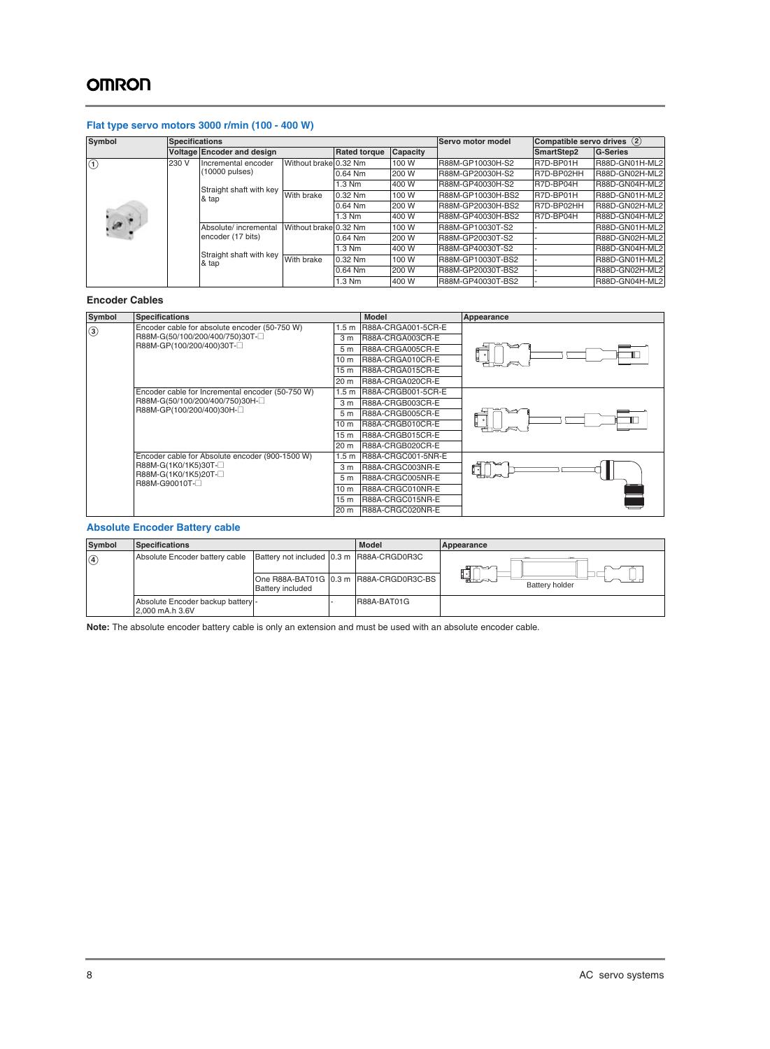# **OMRON**

#### **Flat type servo motors 3000 r/min (100 - 400 W)**

| Symbol        | <b>Specifications</b>                       |                                    |                       |           |                   | Servo motor model | Compatible servo drives (2) |                |
|---------------|---------------------------------------------|------------------------------------|-----------------------|-----------|-------------------|-------------------|-----------------------------|----------------|
|               |                                             | <b>Voltage Encoder and design</b>  | <b>Rated torque</b>   | Capacity  |                   | SmartStep2        | <b>G-Series</b>             |                |
| $\odot$       | 230 V                                       | Incremental encoder                | Without brake 0.32 Nm |           | 100 W             | R88M-GP10030H-S2  | R7D-BP01H                   | R88D-GN01H-ML2 |
|               |                                             | $(10000 \text{ pulses})$           |                       | 0.64 Nm   | 200 W             | R88M-GP20030H-S2  | R7D-BP02HH                  | R88D-GN02H-ML2 |
|               |                                             |                                    |                       | 1.3 Nm    | 400 W             | R88M-GP40030H-S2  | R7D-BP04H                   | R88D-GN04H-ML2 |
|               | Straight shaft with key With brake<br>& tap |                                    |                       | $0.32$ Nm | 100 W             | R88M-GP10030H-BS2 | R7D-BP01H                   | R88D-GN01H-ML2 |
|               |                                             |                                    |                       | 0.64 Nm   | 200 W             | R88M-GP20030H-BS2 | R7D-BP02HH                  | R88D-GN02H-ML2 |
|               |                                             |                                    |                       | $1.3$ Nm  | 400 W             | R88M-GP40030H-BS2 | R7D-BP04H                   | R88D-GN04H-ML2 |
| $\mathcal{P}$ |                                             | Absolute/ incremental              | Without brake 0.32 Nm |           | 100 W             | R88M-GP10030T-S2  |                             | R88D-GN01H-ML2 |
|               |                                             | encoder (17 bits)                  |                       | $0.64$ Nm | 200 W             | R88M-GP20030T-S2  |                             | R88D-GN02H-ML2 |
|               |                                             |                                    |                       | 1.3 Nm    | 400 W             | R88M-GP40030T-S2  |                             | R88D-GN04H-ML2 |
| & tap         |                                             | Straight shaft with key With brake |                       | 0.32 Nm   | 100 W             | R88M-GP10030T-BS2 |                             | R88D-GN01H-ML2 |
|               |                                             |                                    | 0.64 Nm               | 200 W     | R88M-GP20030T-BS2 |                   | R88D-GN02H-ML2              |                |
|               |                                             |                                    |                       | 1.3 Nm    | 400 W             | R88M-GP40030T-BS2 |                             | R88D-GN04H-ML2 |

#### **Encoder Cables**

| Symbol        | <b>Specifications</b>                            |                  | <b>Model</b>       | Appearance |
|---------------|--------------------------------------------------|------------------|--------------------|------------|
| $\circled{3}$ | Encoder cable for absolute encoder (50-750 W)    | 1.5 m            | R88A-CRGA001-5CR-E |            |
|               | R88M-G(50/100/200/400/750)30T-                   | 3 <sub>m</sub>   | R88A-CRGA003CR-E   |            |
|               | R88M-GP(100/200/400)30T-                         | 5 <sub>m</sub>   | R88A-CRGA005CR-E   |            |
|               |                                                  | 10 m             | R88A-CRGA010CR-E   |            |
|               |                                                  | 15 m             | R88A-CRGA015CR-E   |            |
|               |                                                  | 20 m             | R88A-CRGA020CR-E   |            |
|               | Encoder cable for Incremental encoder (50-750 W) | 1.5 <sub>m</sub> | R88A-CRGB001-5CR-E |            |
|               | R88M-G(50/100/200/400/750)30H- $\square$         | 3 <sub>m</sub>   | R88A-CRGB003CR-E   |            |
|               | R88M-GP(100/200/400)30H-                         | 5 <sub>m</sub>   | R88A-CRGB005CR-E   |            |
|               |                                                  | 10 <sub>m</sub>  | R88A-CRGB010CR-E   |            |
|               |                                                  | 15 m             | R88A-CRGB015CR-E   |            |
|               |                                                  | 20 m             | R88A-CRGB020CR-E   |            |
|               | Encoder cable for Absolute encoder (900-1500 W)  | 1.5 <sub>m</sub> | R88A-CRGC001-5NR-E |            |
|               | R88M-G(1K0/1K5)30T-                              | 3 <sub>m</sub>   | R88A-CRGC003NR-E   | ក          |
|               | R88M-G(1K0/1K5)20T-<br>R88M-G90010T-             | 5 <sub>m</sub>   | R88A-CRGC005NR-E   |            |
|               |                                                  | 10 m             | R88A-CRGC010NR-E   |            |
|               |                                                  | 15 m             | R88A-CRGC015NR-E   |            |
|               |                                                  | 20 m             | R88A-CRGC020NR-E   |            |

#### **Absolute Encoder Battery cable**

| Symbol        | <b>Specifications</b>                                |                                          | <b>Model</b>                           | Appearance                   |
|---------------|------------------------------------------------------|------------------------------------------|----------------------------------------|------------------------------|
| $\circled{4}$ | Absolute Encoder battery cable                       | Battery not included 0.3 m R88A-CRGD0R3C |                                        | =s                           |
|               |                                                      | <b>Battery included</b>                  | One R88A-BAT01G 0.3 m R88A-CRGD0R3C-BS | ELA<br><b>Battery holder</b> |
|               | Absolute Encoder backup battery -<br>2,000 mA.h 3.6V |                                          | R88A-BAT01G                            |                              |

**Note:** The absolute encoder battery cable is only an extension and must be used with an absolute encoder cable.